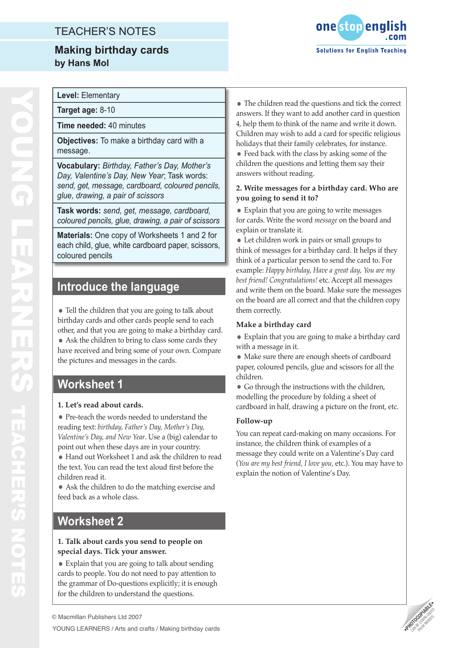## TEACHER'S NOTES

### **Making birthday cards by Hans Mol**



#### **Level:** Elementary

**Target age:** 8-10

**Time needed:** 40 minutes

**Objectives:** To make a birthday card with a message.

**Vocabulary:** *Birthday, Father's Day, Mother's Day, Valentine's Day, New Year*; Task words: *send, get, message, cardboard, coloured pencils, glue, drawing, a pair of scissors*

**Task words:** *send, get, message, cardboard, coloured pencils, glue, drawing, a pair of scissors*

**Materials:** One copy of Worksheets 1 and 2 for each child, glue, white cardboard paper, scissors, coloured pencils

# **Introduce the language**

• Tell the children that you are going to talk about birthday cards and other cards people send to each other, and that you are going to make a birthday card. • Ask the children to bring to class some cards they have received and bring some of your own. Compare the pictures and messages in the cards.

# **Worksheet 1**

#### **1. Let's read about cards.**

• Pre-teach the words needed to understand the reading text: *birthday, Father's Day, Mother's Day, Valentine's Day, and New Year* . Use a (big) calendar to point out when these days are in your country. • Hand out Worksheet 1 and ask the children to read the text. You can read the text aloud first before the children read it.

• Ask the children to do the matching exercise and feed back as a whole class.

# **Worksheet 2**

#### **1. Talk about cards you send to people on special days. Tick your answer.**

• Explain that you are going to talk about sending cards to people. You do not need to pay attention to the grammar of Do-questions explicitly; it is enough for the children to understand the questions.

• The children read the questions and tick the correct answers. If they want to add another card in question 4, help them to think of the name and write it down. Children may wish to add a card for specific religious holidays that their family celebrates, for instance.

• Feed back with the class by asking some of the children the questions and letting them say their answers without reading.

#### **2. Write messages for a birthday card. Who are you going to send it to?**

• Explain that you are going to write messages for cards. Write the word *message* on the board and explain or translate it.

• Let children work in pairs or small groups to think of messages for a birthday card. It helps if they think of a particular person to send the card to. For example: *Happy birthday, Have a great day, You are my best friend! Congratulations!* etc. Accept all messages and write them on the board. Make sure the messages on the board are all correct and that the children copy them correctly.

#### **Make a birthday card**

• Explain that you are going to make a birthday card with a message in it.

• Make sure there are enough sheets of cardboard paper, coloured pencils, glue and scissors for all the children.

• Go through the instructions with the children, modelling the procedure by folding a sheet of cardboard in half, drawing a picture on the front, etc.

#### **Follow-up**

You can repeat card-making on many occasions. For instance, the children think of examples of a message they could write on a Valentine's Day card (*You are my best friend, I love you,* etc.). You may have to explain the notion of Valentine's Day.



YOUNG LEARNERS / Arts and crafts / Making birthday cards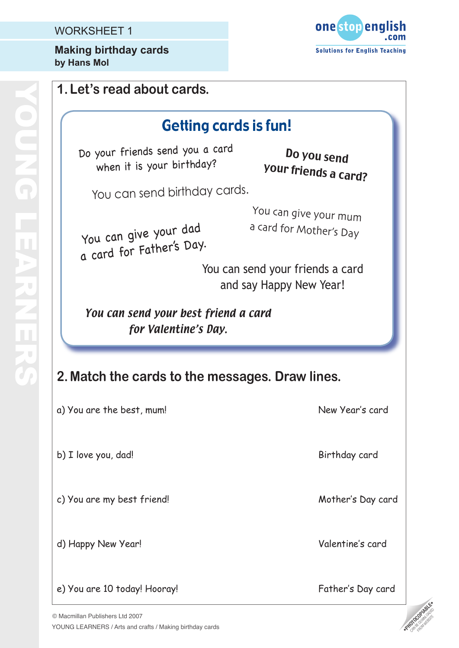## WORKSHFFT 1

**Making birthday cards by Hans Mol**



# **1. Let's read about cards. 2. Match the cards to the messages. Draw lines.** a) You are the best, mum! New Year's card b) I love you, dad! Birthday card c) You are my best friend! Mother's Day card d) Happy New Year! Some Valentine's card e) You are 10 today! Hooray! The state of the Father's Day card Getting cards is fun! Do your friends send you a card when it is your birthday? Do you send your friends a card? You can send birthday cards. You can give your mum a card for Mother's Day. You can give your dad a card for Father's Day. You can send your friends a card and say Happy New Year! You can send your best friend a card for Valentine's Day.